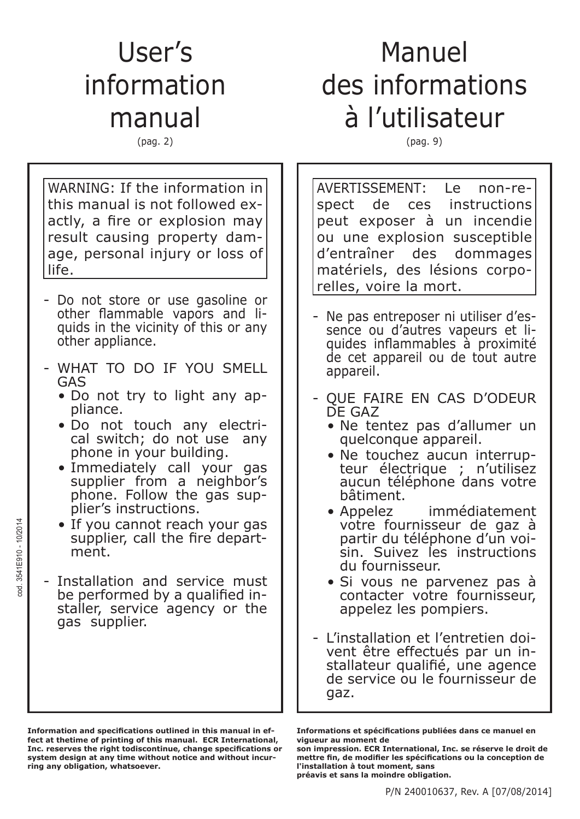## User's information manual

(pag. 2)

# Manuel des informations à l'utilisateur

(pag. 9)

WARNING: If the information in this manual is not followed exactly, a fire or explosion may result causing property damage, personal injury or loss of life.

- Do not store or use gasoline or other flammable vapors and liquids in the vicinity of this or any other appliance.
- WHAT TO DO IF YOU SMELL GAS
	- Do not try to light any appliance.
	- Do not touch any electrical switch; do not use any phone in your building.
	- Immediately call your gas supplier from a neighbor's phone. Follow the gas supplier's instructions.
	- If you cannot reach your gas supplier, call the fire department.
- Installation and service must be performed by a qualified installer, service agency or the gas supplier.

cod. 3541E910 - 10/2014

 $\ddot{\rm g}$ 

3541E910 - 10/2014

**Information and specifications outlined in this manual in effect at thetime of printing of this manual. ECR International, Inc. reserves the right todiscontinue, change specifications or system design at any time without notice and without incurring any obligation, whatsoever.**

AVERTISSEMENT: Le non-respect de ces instructions peut exposer à un incendie ou une explosion susceptible d'entraîner des dommages matériels, des lésions corporelles, voire la mort.

- Ne pas entreposer ni utiliser d'essence ou d'autres vapeurs et liquides inflammables à proximité de cet appareil ou de tout autre appareil.
- QUE FAIRE EN CAS D'ODEUR DE GAZ
	- Ne tentez pas d'allumer un quelconque appareil.
	- Ne touchez aucun interrupteur électrique ; n'utilisez aucun téléphone dans votre bâtiment.
	- Appelez immédiatement votre fournisseur de gaz à partir du téléphone d'un voisin. Suivez les instructions du fournisseur.
	- Si vous ne parvenez pas à contacter votre fournisseur, appelez les pompiers.
- L'installation et l'entretien doivent être effectués par un installateur qualifié, une agence de service ou le fournisseur de gaz.

**Informations et spécifications publiées dans ce manuel en vigueur au moment de**

**son impression. ECR International, Inc. se réserve le droit de** mettre fin, de modifier les spécifications ou la conception de **l'installation à tout moment, sans préavis et sans la moindre obligation.**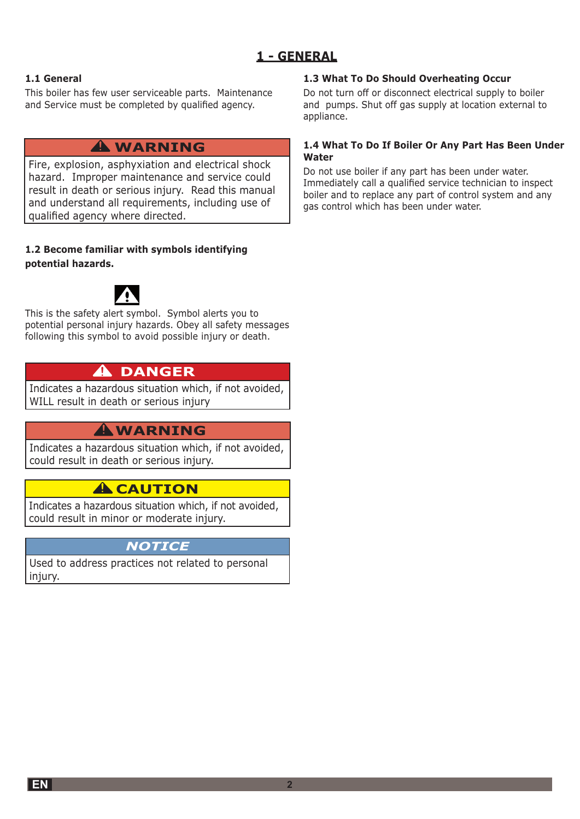### **1 - GENERAL**

### **1.1 General**

This boiler has few user serviceable parts. Maintenance and Service must be completed by qualified agency.

### **A** WARNING

Fire, explosion, asphyxiation and electrical shock hazard. Improper maintenance and service could result in death or serious injury. Read this manual and understand all requirements, including use of qualified agency where directed.

### **1.2 Become familiar with symbols identifying potential hazards.**



This is the safety alert symbol. Symbol alerts you to potential personal injury hazards. Obey all safety messages following this symbol to avoid possible injury or death.

### **A** DANGER

Indicates a hazardous situation which, if not avoided, WILL result in death or serious injury

### **A** WARNING

Indicates a hazardous situation which, if not avoided, could result in death or serious injury.

### **A** CAUTION

Indicates a hazardous situation which, if not avoided, could result in minor or moderate injury.

### *NOTICE*

Used to address practices not related to personal injury.

### **1.3 What To Do Should Overheating Occur**

Do not turn off or disconnect electrical supply to boiler and pumps. Shut off gas supply at location external to appliance.

### 1.4 What To Do If Boiler Or Any Part Has Been Under **Water**

Do not use boiler if any part has been under water. Immediately call a qualified service technician to inspect boiler and to replace any part of control system and any gas control which has been under water.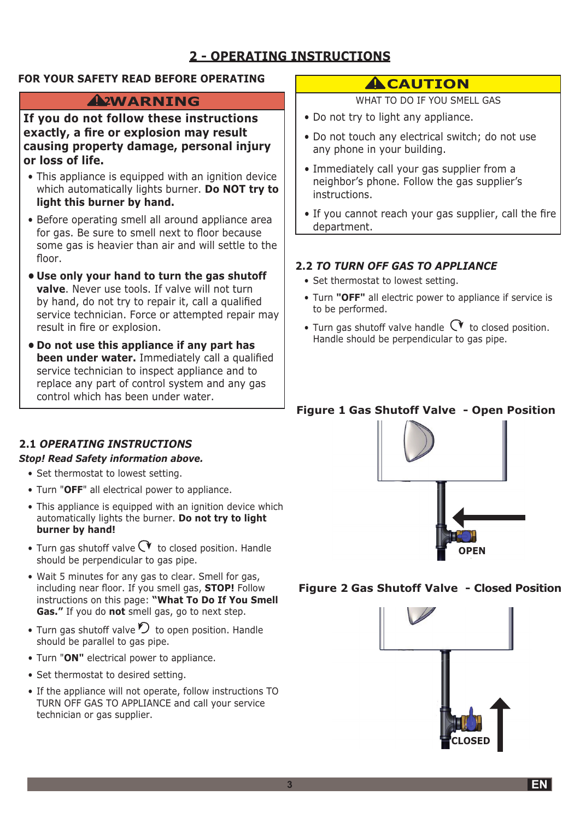### **2 - OPERATING INSTRUCTIONS**

### FOR YOUR SAFETY READ BEFORE OPERATING

### AWARNING

If you do not follow these instructions exactly, a fire or explosion may result causing property damage, personal injury or loss of life.

- This appliance is equipped with an ignition device which automatically lights burner. Do NOT try to light this burner by hand.
- Before operating smell all around appliance area for gas. Be sure to smell next to floor because some gas is heavier than air and will settle to the floor.
- Use only your hand to turn the gas shutoff **valve.** Never use tools. If valve will not turn by hand, do not try to repair it, call a qualified service technician. Force or attempted repair may result in fire or explosion.
- . Do not use this appliance if any part has been under water. Immediately call a qualified service technician to inspect appliance and to replace any part of control system and any gas control which has been under water.

### **ACAUTION**

WHAT TO DO IF YOU SMELL GAS

- Do not try to light any appliance.
- Do not touch any electrical switch; do not use any phone in your building.
- Immediately call your gas supplier from a neighbor's phone. Follow the gas supplier's instructions.
- If you cannot reach your gas supplier, call the fire department.

### **2.2 TO TURN OFF GAS TO APPLIANCE**

- Set thermostat to lowest setting.
- Turn "OFF" all electric power to appliance if service is to be performed.
- Turn gas shutoff valve handle  $\alpha$  to closed position. Handle should be perpendicular to gas pipe.

### **Figure 1 Gas Shutoff Valve - Open Position**

### **2.1 OPERATING INSTRUCTIONS**

### **Stop! Read Safety information above.**

- Set thermostat to lowest setting.
- Turn "OFF" all electrical power to appliance.
- This appliance is equipped with an ignition device which automatically lights the burner. Do not try to light burner by hand!
- Turn gas shutoff valve  $\heartsuit$  to closed position. Handle should be perpendicular to gas pipe.
- . Wait 5 minutes for any gas to clear. Smell for gas, including near floor. If you smell gas, **STOP!** Follow instructions on this page: "What To Do If You Smell Gas." If you do not smell gas, go to next step.
- Turn gas shutoff valve  $\mathcal D$  to open position. Handle should be parallel to gas pipe.
- Turn "ON" electrical power to appliance.
- Set thermostat to desired setting.
- If the appliance will not operate, follow instructions TO TURN OFF GAS TO APPLIANCE and call your service technician or gas supplier.



### Figure 2 Gas Shutoff Valve - Closed Position

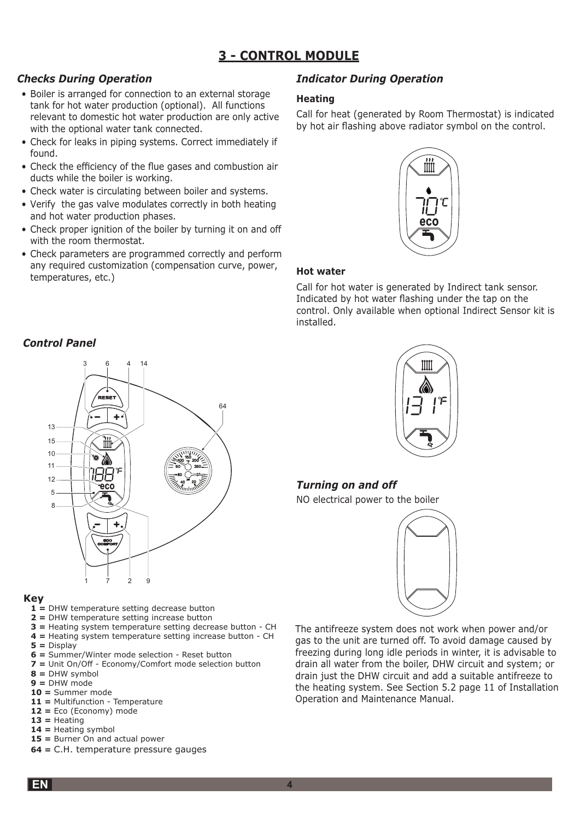### **3 - CONTROL MODULE**

### *Checks During Operation*

- Boiler is arranged for connection to an external storage tank for hot water production (optional). All functions relevant to domestic hot water production are only active with the optional water tank connected.
- Check for leaks in piping systems. Correct immediately if found.
- Check the efficiency of the flue gases and combustion air ducts while the boiler is working.
- Check water is circulating between boiler and systems.
- Verify the gas valve modulates correctly in both heating and hot water production phases.
- Check proper ignition of the boiler by turning it on and off with the room thermostat.
- Check parameters are programmed correctly and perform any required customization (compensation curve, power, temperatures, etc.)

### *Indicator During Operation*

#### **Heating**

Call for heat (generated by Room Thermostat) is indicated by hot air flashing above radiator symbol on the control.



### **Hot water**

Call for hot water is generated by Indirect tank sensor. Indicated by hot water flashing under the tap on the control. Only available when optional Indirect Sensor kit is installed.

### *Control Panel*



#### **Key**

- $1$  = DHW temperature setting decrease button
- **2** = DHW temperature setting increase button
- $3$  = Heating system temperature setting decrease button CH
- $4$  = Heating system temperature setting increase button CH
- $5 =$ Display
- **6 = Summer/Winter mode selection Reset button**
- **7** = Unit On/Off Economy/Comfort mode selection button
- $8 = DHW$  symbol
- **9 =** DHW mode
- **10 =** Summer mode
- **11 = Multifunction Temperature**  $12 = Eco (Economy) mode$
- $13$  = Heating
- $14$  = Heating symbol
- $15$  = Burner On and actual power
- **64 = C.H. temperature pressure gauges**



### *Turning on and off*

NO electrical power to the boiler



The antifreeze system does not work when power and/or gas to the unit are turned off. To avoid damage caused by freezing during long idle periods in winter, it is advisable to drain all water from the boiler, DHW circuit and system; or drain just the DHW circuit and add a suitable antifreeze to the heating system. See Section 5.2 page 11 of Installation Operation and Maintenance Manual.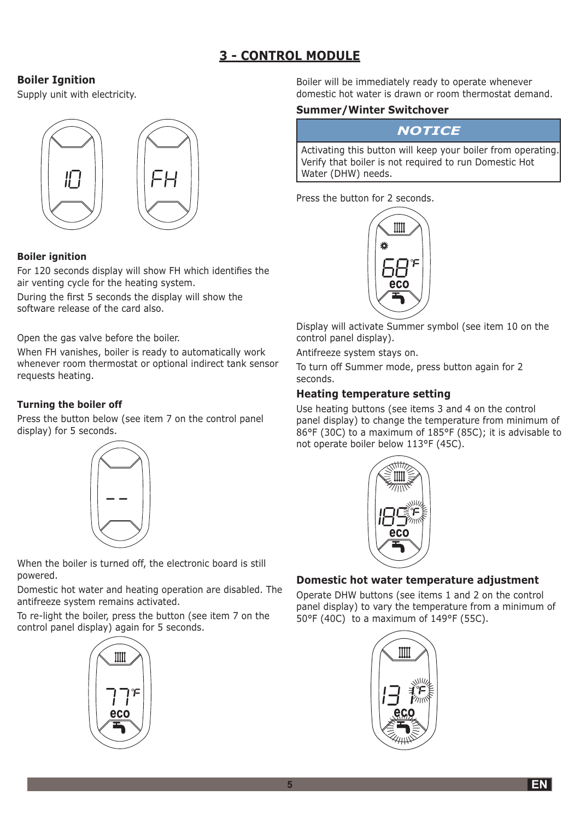### **3 - CONTROL MODULE**

### **Boiler Ignition**

Supply unit with electricity.



### **Boiler ignition**

For 120 seconds display will show FH which identifies the air venting cycle for the heating system.

During the first 5 seconds the display will show the software release of the card also.

Open the gas valve before the boiler.

When FH vanishes, boiler is ready to automatically work whenever room thermostat or optional indirect tank sensor requests heating.

### **Turning the boiler off**

Press the button below (see item 7 on the control panel display) for 5 seconds.



When the boiler is turned off, the electronic board is still powered.

Domestic hot water and heating operation are disabled. The antifreeze system remains activated.

To re-light the boiler, press the button (see item 7 on the control panel display) again for 5 seconds.



Boiler will be immediately ready to operate whenever domestic hot water is drawn or room thermostat demand.

### **Summer/Winter Switchover**

### **NOTICE**

Activating this button will keep your boiler from operating. Verify that boiler is not required to run Domestic Hot Water (DHW) needs.

Press the button for 2 seconds.



Display will activate Summer symbol (see item 10 on the control panel display).

Antifreeze system stavs on.

To turn off Summer mode, press button again for 2 seconds.

### **Heating temperature setting**

Use heating buttons (see items 3 and 4 on the control panel display) to change the temperature from minimum of 86°F (30C) to a maximum of 185°F (85C); it is advisable to not operate boiler below 113°F (45C).



### Domestic hot water temperature adjustment

Operate DHW buttons (see items 1 and 2 on the control panel display) to vary the temperature from a minimum of 50°F (40C) to a maximum of 149°F (55C).

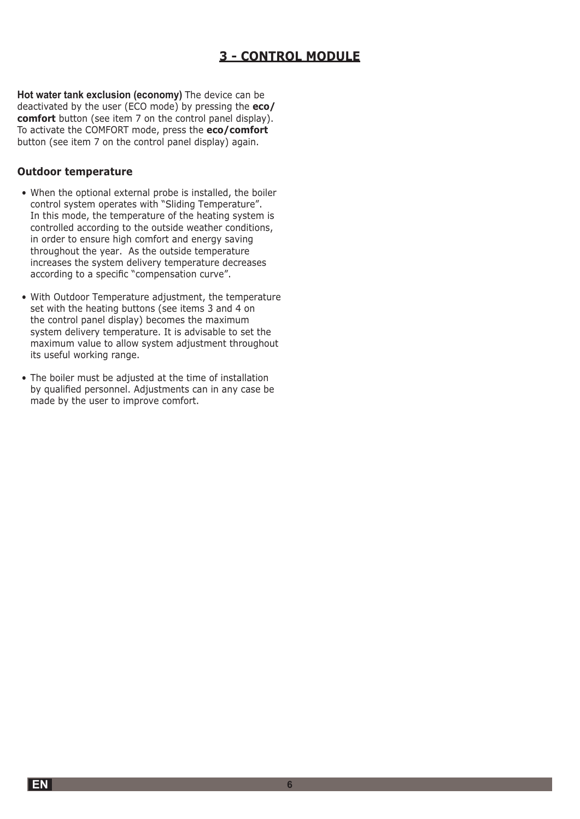### **3 - CONTROL MODULE**

Hot water tank exclusion (economy) The device can be deactivated by the user (ECO mode) by pressing the eco/ comfort button (see item 7 on the control panel display). To activate the COMFORT mode, press the eco/comfort button (see item 7 on the control panel display) again.

### **Outdoor temperature**

- When the optional external probe is installed, the boiler control system operates with "Sliding Temperature". In this mode, the temperature of the heating system is controlled according to the outside weather conditions, in order to ensure high comfort and energy saving throughout the year. As the outside temperature increases the system delivery temperature decreases according to a specific "compensation curve".
- With Outdoor Temperature adjustment, the temperature set with the heating buttons (see items 3 and 4 on the control panel display) becomes the maximum system delivery temperature. It is advisable to set the maximum value to allow system adjustment throughout its useful working range.
- The boiler must be adjusted at the time of installation by qualified personnel. Adjustments can in any case be made by the user to improve comfort.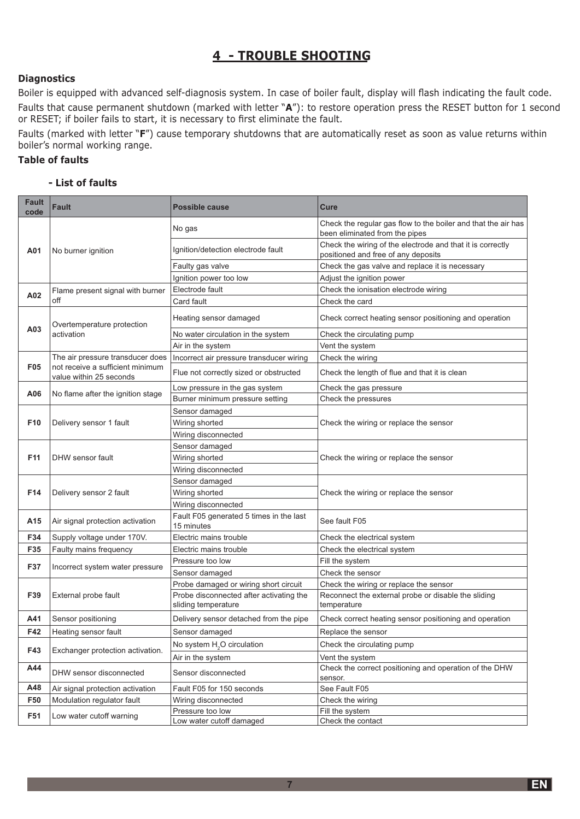### 4 - TROUBLE SHOOTING

#### **Diagnostics**

Boiler is equipped with advanced self-diagnosis system. In case of boiler fault, display will flash indicating the fault code. Faults that cause permanent shutdown (marked with letter "A"): to restore operation press the RESET button for 1 second or RESET; if boiler fails to start, it is necessary to first eliminate the fault.

Faults (marked with letter "F") cause temporary shutdowns that are automatically reset as soon as value returns within boiler's normal working range.

### **Table of faults**

#### - List of faults

| <b>Fault</b><br>code | <b>Fault</b>                                                | <b>Possible cause</b>                                 | <b>Cure</b>                                                                                       |
|----------------------|-------------------------------------------------------------|-------------------------------------------------------|---------------------------------------------------------------------------------------------------|
| A01                  | No burner ignition                                          | No gas                                                | Check the regular gas flow to the boiler and that the air has<br>been eliminated from the pipes   |
|                      |                                                             | Ignition/detection electrode fault                    | Check the wiring of the electrode and that it is correctly<br>positioned and free of any deposits |
|                      |                                                             | Faulty gas valve                                      | Check the gas valve and replace it is necessary                                                   |
|                      |                                                             | Ignition power too low                                | Adjust the ignition power                                                                         |
| A02                  | Flame present signal with burner                            | Electrode fault                                       | Check the ionisation electrode wiring                                                             |
|                      | off                                                         | Card fault                                            | Check the card                                                                                    |
|                      | Overtemperature protection<br>activation                    | Heating sensor damaged                                | Check correct heating sensor positioning and operation                                            |
| A03                  |                                                             | No water circulation in the system                    | Check the circulating pump                                                                        |
|                      |                                                             | Air in the system                                     | Vent the system                                                                                   |
|                      | The air pressure transducer does                            | Incorrect air pressure transducer wiring              | Check the wiring                                                                                  |
| <b>F05</b>           | not receive a sufficient minimum<br>value within 25 seconds | Flue not correctly sized or obstructed                | Check the length of flue and that it is clean                                                     |
| A06                  |                                                             | Low pressure in the gas system                        | Check the gas pressure                                                                            |
|                      | No flame after the ignition stage                           | Burner minimum pressure setting                       | Check the pressures                                                                               |
|                      |                                                             | Sensor damaged                                        |                                                                                                   |
| F <sub>10</sub>      | Delivery sensor 1 fault                                     | Wiring shorted                                        | Check the wiring or replace the sensor                                                            |
|                      |                                                             | Wiring disconnected                                   |                                                                                                   |
|                      | DHW sensor fault                                            | Sensor damaged                                        | Check the wiring or replace the sensor                                                            |
| F11                  |                                                             | Wiring shorted                                        |                                                                                                   |
|                      |                                                             | Wiring disconnected                                   |                                                                                                   |
|                      | Delivery sensor 2 fault                                     | Sensor damaged                                        |                                                                                                   |
| F14                  |                                                             | Wiring shorted                                        | Check the wiring or replace the sensor                                                            |
|                      |                                                             | Wiring disconnected                                   |                                                                                                   |
| A15                  | Air signal protection activation                            | Fault F05 generated 5 times in the last<br>15 minutes | See fault F05                                                                                     |
| F34                  | Supply voltage under 170V.                                  | Electric mains trouble                                | Check the electrical system                                                                       |
| F35                  | Faulty mains frequency                                      | Electric mains trouble                                | Check the electrical system                                                                       |
| F37                  | Incorrect system water pressure                             | Pressure too low                                      | Fill the system                                                                                   |
|                      |                                                             | Sensor damaged                                        | Check the sensor                                                                                  |
|                      | External probe fault                                        | Probe damaged or wiring short circuit                 | Check the wiring or replace the sensor                                                            |
| F39                  |                                                             | Probe disconnected after activating the               | Reconnect the external probe or disable the sliding                                               |
|                      |                                                             | sliding temperature                                   | temperature                                                                                       |
| A41                  | Sensor positioning                                          | Delivery sensor detached from the pipe                | Check correct heating sensor positioning and operation                                            |
| F42                  | Heating sensor fault                                        | Sensor damaged                                        | Replace the sensor                                                                                |
| F43                  | Exchanger protection activation.                            | No system H <sub>2</sub> O circulation                | Check the circulating pump                                                                        |
|                      |                                                             | Air in the system                                     | Vent the system                                                                                   |
| A44                  | DHW sensor disconnected                                     | Sensor disconnected                                   | Check the correct positioning and operation of the DHW<br>sensor.                                 |
| A48                  | Air signal protection activation                            | Fault F05 for 150 seconds                             | See Fault F05                                                                                     |
| F50                  | Modulation regulator fault                                  | Wiring disconnected                                   | Check the wiring                                                                                  |
| F51                  | Low water cutoff warning                                    | Pressure too low                                      | Fill the system                                                                                   |
|                      |                                                             | Low water cutoff damaged                              | Check the contact                                                                                 |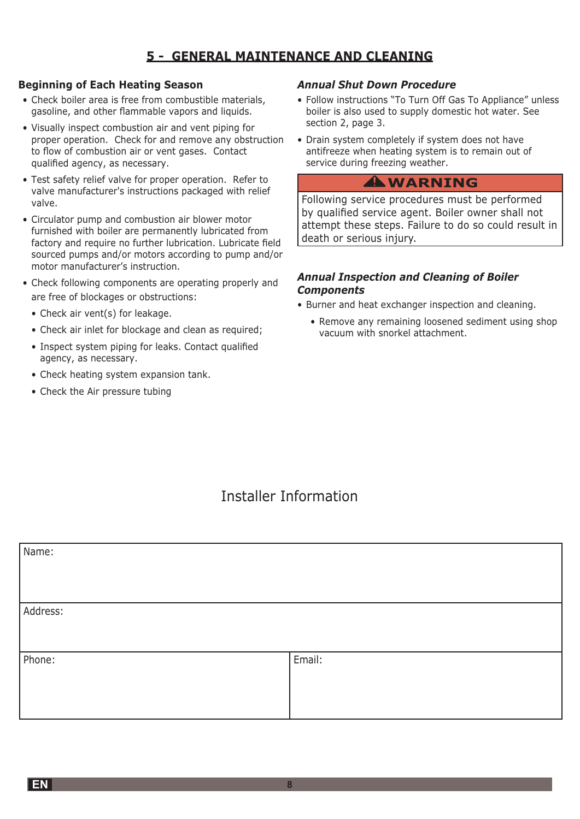### 5 - GENERAL MAINTENANCE AND CLEANING

### **Beginning of Each Heating Season**

- Check boiler area is free from combustible materials, gasoline, and other flammable vapors and liquids.
- Visually inspect combustion air and vent piping for proper operation. Check for and remove any obstruction to flow of combustion air or vent gases. Contact qualified agency, as necessary.
- Test safety relief valve for proper operation. Refer to valve manufacturer's instructions packaged with relief valve.
- Circulator pump and combustion air blower motor furnished with boiler are permanently lubricated from factory and require no further lubrication. Lubricate field sourced pumps and/or motors according to pump and/or motor manufacturer's instruction.
- Check following components are operating properly and are free of blockages or obstructions:
	- Check air vent(s) for leakage.
	- Check air inlet for blockage and clean as required;
	- Inspect system piping for leaks. Contact qualified agency, as necessary.
	- Check heating system expansion tank.
	- Check the Air pressure tubing

### **Annual Shut Down Procedure**

- Follow instructions "To Turn Off Gas To Appliance" unless boiler is also used to supply domestic hot water. See section 2, page 3.
- Drain system completely if system does not have antifreeze when heating system is to remain out of service during freezing weather.

### **AWARNING**

Following service procedures must be performed by qualified service agent. Boiler owner shall not attempt these steps. Failure to do so could result in death or serious injury.

### **Annual Inspection and Cleaning of Boiler Components**

- Burner and heat exchanger inspection and cleaning.
	- Remove any remaining loosened sediment using shop vacuum with snorkel attachment.

## **Installer Information**

| Name:    |        |
|----------|--------|
|          |        |
|          |        |
|          |        |
|          |        |
|          |        |
| Address: |        |
|          |        |
|          |        |
|          |        |
|          |        |
|          |        |
| Phone:   | Email: |
|          |        |
|          |        |
|          |        |
|          |        |
|          |        |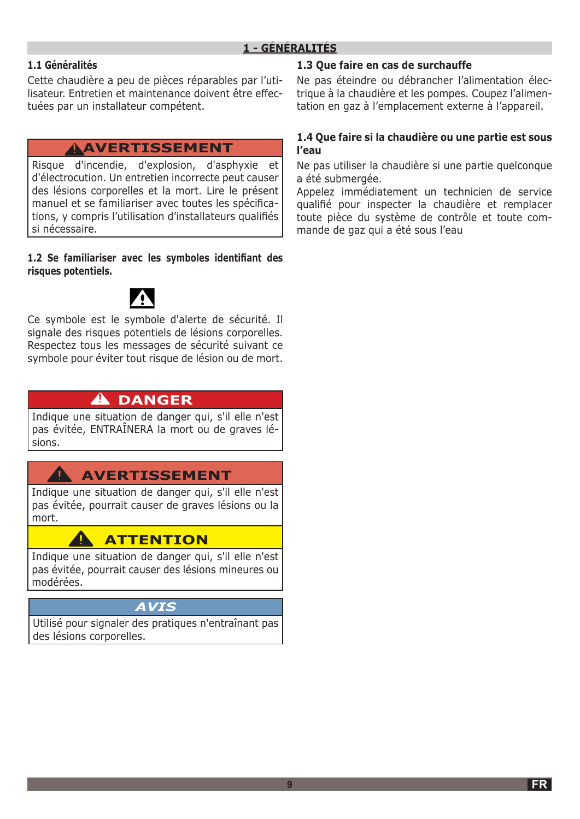### **1.1 Généralités**

Cette chaudière a peu de pièces réparables par l'utilisateur. Entretien et maintenance doivent être effectuées par un installateur compétent.

### **AVERTISSEMENT !**

Risque d'incendie, d'explosion, d'asphyxie et d'électrocution. Un entretien incorrecte peut causer des lésions corporelles et la mort. Lire le présent manuel et se familiariser avec toutes les spécifications, y compris l'utilisation d'installateurs qualifiés si nécessaire.

**1.2 Se familiariser avec les symboles identifiant des risques potentiels.**



Ce symbole est le symbole d'alerte de sécurité. Il signale des risques potentiels de lésions corporelles. Respectez tous les messages de sécurité suivant ce symbole pour éviter tout risque de lésion ou de mort.

### $\hat{\mathbf{A}}$  DANGER

Indique une situation de danger qui, s'il elle n'est pas évitée, ENTRAÎNERA la mort ou de graves lésions.

### **AVERTISSEMENT**

Indique une situation de danger qui, s'il elle n'est pas évitée, pourrait causer de graves lésions ou la mort.

### **ATTENTION**

Indique une situation de danger qui, s'il elle n'est pas évitée, pourrait causer des lésions mineures ou modérées.

### *AVIS*

Utilisé pour signaler des pratiques n'entraînant pas des lésions corporelles.

### **1.3 Que faire en cas de surchauffe**

Ne pas éteindre ou débrancher l'alimentation électrique à la chaudière et les pompes. Coupez l'alimentation en gaz à l'emplacement externe à l'appareil.

### **1.4 Que faire si la chaudière ou une partie est sous l'eau**

Ne pas utiliser la chaudière si une partie quelconque a été submergée.

Appelez immédiatement un technicien de service qualifié pour inspecter la chaudière et remplacer toute pièce du système de contrôle et toute commande de gaz qui a été sous l'eau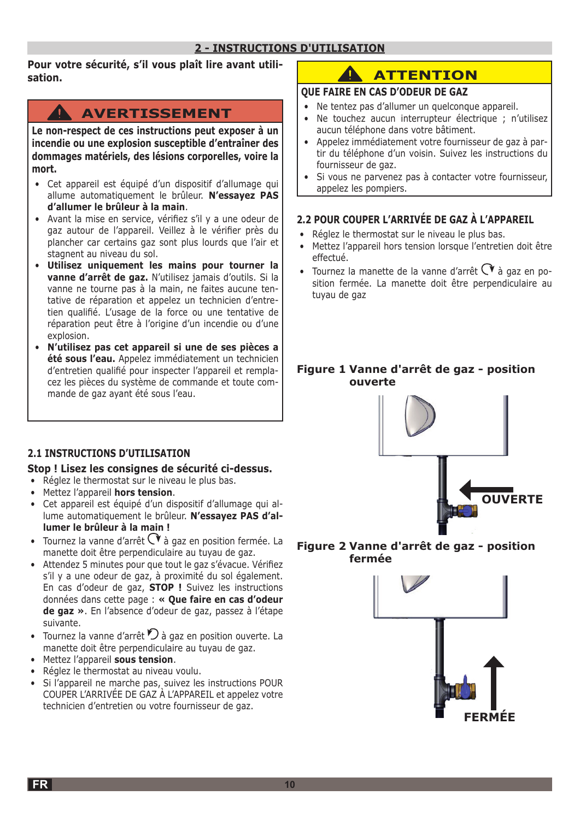### **2 - INSTRUCTIONS D'UTILISATION**

**Pour votre sécurité, s'il vous plaît lire avant utilisation.**

### **AVERTISSEMENT**

**Le non-respect de ces instructions peut exposer à un incendie ou une explosion susceptible d'entraîner des dommages matériels, des lésions corporelles, voire la mort.**

- Cet appareil est équipé d'un dispositif d'allumage qui allume automatiquement le brûleur. **N'essayez PAS d'allumer le brûleur à la main**.
- Avant la mise en service, vérifiez s'il y a une odeur de gaz autour de l'appareil. Veillez à le vérifier près du plancher car certains gaz sont plus lourds que l'air et stagnent au niveau du sol.
- **Utilisez uniquement les mains pour tourner la vanne d'arrêt de gaz.** N'utilisez jamais d'outils. Si la vanne ne tourne pas à la main, ne faites aucune tentative de réparation et appelez un technicien d'entretien qualifié. L'usage de la force ou une tentative de réparation peut être à l'origine d'un incendie ou d'une explosion.
- **N'utilisez pas cet appareil si une de ses pièces a été sous l'eau.** Appelez immédiatement un technicien d'entretien qualifié pour inspecter l'appareil et remplacez les pièces du système de commande et toute commande de gaz ayant été sous l'eau.

### **2.1 INSTRUCTIONS D'UTILISATION**

### **Stop ! Lisez les consignes de sécurité ci-dessus.**

- Réglez le thermostat sur le niveau le plus bas.
- Mettez l'appareil **hors tension**.
- Cet appareil est équipé d'un dispositif d'allumage qui allume automatiquement le brûleur. **N'essayez PAS d'allumer le brûleur à la main !**
- Tournez la vanne d'arrêt  $\mathbb C$  à gaz en position fermée. La manette doit être perpendiculaire au tuyau de gaz.
- Attendez 5 minutes pour que tout le gaz s'évacue. Vérifiez s'il y a une odeur de gaz, à proximité du sol également. En cas d'odeur de gaz, **STOP !** Suivez les instructions données dans cette page : **« Que faire en cas d'odeur de gaz »**. En l'absence d'odeur de gaz, passez à l'étape suivante.
- Tournez la vanne d'arrêt  $\mathcal D$  à gaz en position ouverte. La manette doit être perpendiculaire au tuyau de gaz.
- Mettez l'appareil **sous tension**.
- Réglez le thermostat au niveau voulu.
- Si l'appareil ne marche pas, suivez les instructions POUR COUPER L'ARRIVÉE DE GAZ À L'APPAREIL et appelez votre technicien d'entretien ou votre fournisseur de gaz.

### **ATTENTION**

### **QUE FAIRE EN CAS D'ODEUR DE GAZ**

- Ne tentez pas d'allumer un quelconque appareil.
- Ne touchez aucun interrupteur électrique ; n'utilisez aucun téléphone dans votre bâtiment.
- Appelez immédiatement votre fournisseur de gaz à partir du téléphone d'un voisin. Suivez les instructions du fournisseur de gaz.
- Si vous ne parvenez pas à contacter votre fournisseur, appelez les pompiers.

### **2.2 POUR COUPER L'ARRIVÉE DE GAZ À L'APPAREIL**

- Réglez le thermostat sur le niveau le plus bas.
- Mettez l'appareil hors tension lorsque l'entretien doit être effectué.
- Tournez la manette de la vanne d'arrêt  $\mathbb{C}^*$  à gaz en position fermée. La manette doit être perpendiculaire au tuyau de gaz

### **Figure 1 Vanne d'arrêt de gaz - position ouverte**



### **Figure 2 Vanne d'arrêt de gaz - position fermée**

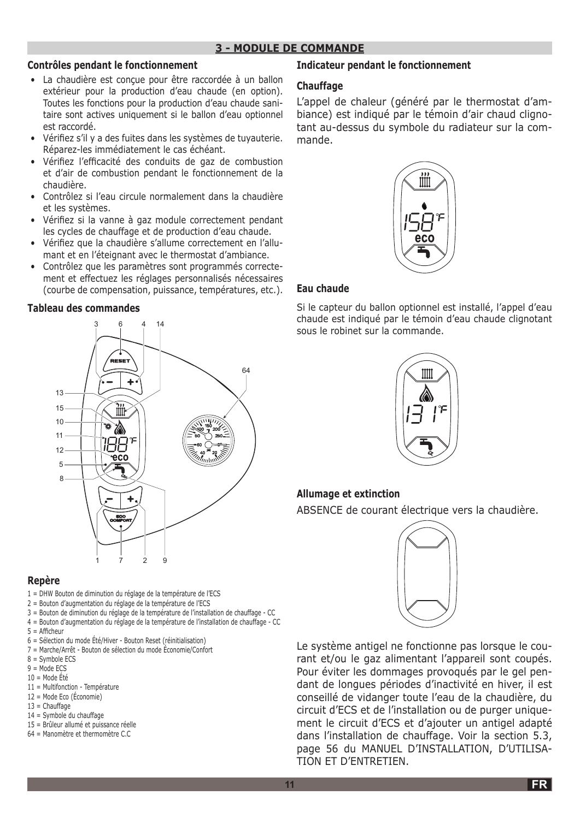### **3 - MODULE DE COMMANDE**

#### **Contrôles pendant le fonctionnement**

- La chaudière est conçue pour être raccordée à un ballon extérieur pour la production d'eau chaude (en option). Toutes les fonctions pour la production d'eau chaude sanitaire sont actives uniquement si le ballon d'eau optionnel est raccordé.
- Vérifiez s'il y a des fuites dans les systèmes de tuyauterie. Réparez-les immédiatement le cas échéant.
- Vérifiez l'efficacité des conduits de gaz de combustion et d'air de combustion pendant le fonctionnement de la chaudière.
- Contrôlez si l'eau circule normalement dans la chaudière et les systèmes.
- Vérifiez si la vanne à gaz module correctement pendant les cycles de chauffage et de production d'eau chaude.
- Vérifiez que la chaudière s'allume correctement en l'allumant et en l'éteignant avec le thermostat d'ambiance.
- Contrôlez que les paramètres sont programmés correctement et effectuez les réglages personnalisés nécessaires (courbe de compensation, puissance, températures, etc.).

#### **Tableau des commandes**



#### **Repère**

- 1 = DHW Bouton de diminution du réglage de la température de l'ECS
- 2 = Bouton d'augmentation du réglage de la température de l'ECS
- 3 = Bouton de diminution du réglage de la température de l'installation de chauffage CC
- 4 = Bouton d'augmentation du réglage de la température de l'installation de chauffage CC
- $5 =$  Afficheur
- 6 = Sélection du mode Été/Hiver Bouton Reset (réinitialisation)
- 7 = Marche/Arrêt Bouton de sélection du mode Économie/Confort
- 8 = Symbole ECS
- $9 =$ Mode FCS
- $10 =$ Mode Été
- 11 = Multifonction Température
- 12 = Mode Eco (Économie)
- $13$  = Chauffage
- 14 = Symbole du chauffage
- 15 = Brûleur allumé et puissance réelle
- 64 = Manomètre et thermomètre C.C

### **Indicateur pendant le fonctionnement**

### **Chauffage**

L'appel de chaleur (généré par le thermostat d'ambiance) est indiqué par le témoin d'air chaud clignotant au-dessus du symbole du radiateur sur la commande.



### **Eau chaude**

Si le capteur du ballon optionnel est installé, l'appel d'eau chaude est indiqué par le témoin d'eau chaude clignotant sous le robinet sur la commande.



### **Allumage et extinction**

ABSENCE de courant électrique vers la chaudière.



Le système antigel ne fonctionne pas lorsque le courant et/ou le gaz alimentant l'appareil sont coupés. Pour éviter les dommages provoqués par le gel pendant de longues périodes d'inactivité en hiver, il est conseillé de vidanger toute l'eau de la chaudière, du circuit d'ECS et de l'installation ou de purger uniquement le circuit d'ECS et d'ajouter un antigel adapté dans l'installation de chauffage. Voir la section 5.3, page 56 du MANUEL D'INSTALLATION, D'UTILISA-TION ET D'ENTRETIEN.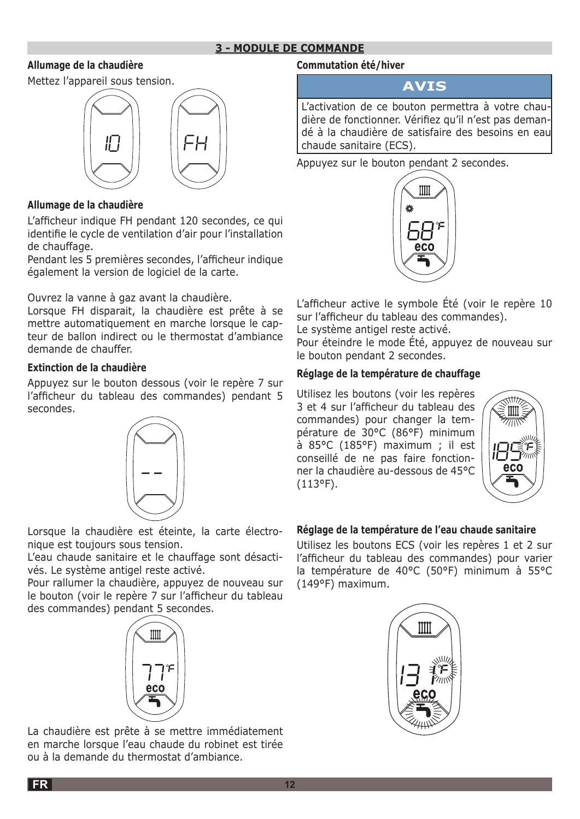### **3 - MODULE DE COMMANDE**

### **Allumage de la chaudière**

Mettez l'appareil sous tension.



### **Allumage de la chaudière**

L'afficheur indique FH pendant 120 secondes, ce qui identifie le cycle de ventilation d'air pour l'installation de chauffage.

Pendant les 5 premières secondes, l'afficheur indique également la version de logiciel de la carte.

Ouvrez la vanne à gaz avant la chaudière.

Lorsque FH disparait, la chaudière est prête à se mettre automatiquement en marche lorsque le capteur de ballon indirect ou le thermostat d'ambiance demande de chauffer.

### **Extinction de la chaudière**

Appuyez sur le bouton dessous (voir le repère 7 sur l'afficheur du tableau des commandes) pendant 5 secondes.



Lorsque la chaudière est éteinte, la carte électronique est toujours sous tension.

L'eau chaude sanitaire et le chauffage sont désactivés. Le système antigel reste activé.

Pour rallumer la chaudière, appuyez de nouveau sur le bouton (voir le repère 7 sur l'afficheur du tableau des commandes) pendant 5 secondes.



La chaudière est prête à se mettre immédiatement en marche lorsque l'eau chaude du robinet est tirée ou à la demande du thermostat d'ambiance.

### **Commutation été/hiver**

### **AVIS**

L'activation de ce bouton permettra à votre chaudière de fonctionner. Vérifiez qu'il n'est pas demandé à la chaudière de satisfaire des besoins en eau chaude sanitaire (ECS).

Appuyez sur le bouton pendant 2 secondes.



L'afficheur active le symbole Été (voir le repère 10 sur l'afficheur du tableau des commandes).

Le système antigel reste activé.

Pour éteindre le mode Été, appuyez de nouveau sur le bouton pendant 2 secondes.

### **Réglage de la température de chauffage**

Utilisez les boutons (voir les repères 3 et 4 sur l'afficheur du tableau des commandes) pour changer la température de 30°C (86°F) minimum à 85°C (185°F) maximum ; il est conseillé de ne pas faire fonctionner la chaudière au-dessous de 45°C (113°F).



### **Réglage de la température de l'eau chaude sanitaire**

Utilisez les boutons ECS (voir les repères 1 et 2 sur l'afficheur du tableau des commandes) pour varier la température de 40°C (50°F) minimum à 55°C (149°F) maximum.

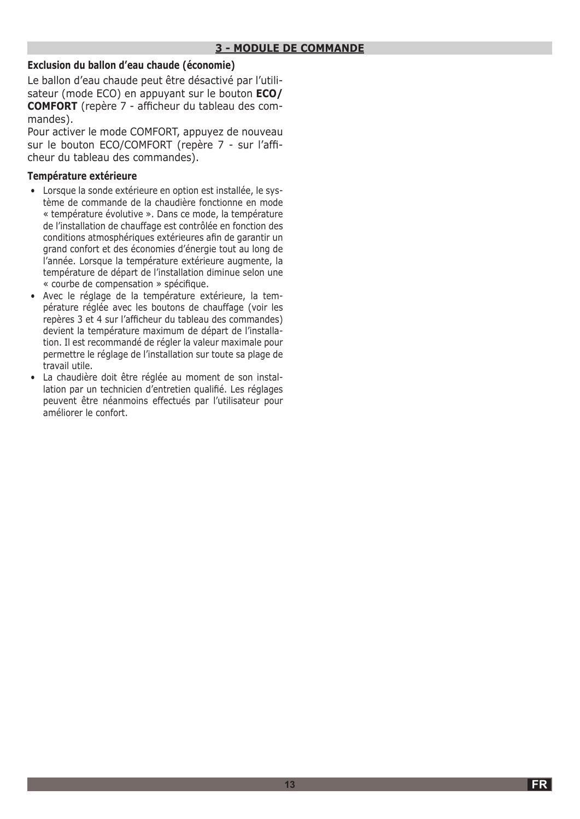### **Exclusion du ballon d'eau chaude (économie)**

Le ballon d'eau chaude peut être désactivé par l'utilisateur (mode ECO) en appuyant sur le bouton **ECO/ COMFORT** (repère 7 - afficheur du tableau des commandes).

Pour activer le mode COMFORT, appuyez de nouveau sur le bouton ECO/COMFORT (repère 7 - sur l'afficheur du tableau des commandes).

### **Température extérieure**

- Lorsque la sonde extérieure en option est installée, le système de commande de la chaudière fonctionne en mode « température évolutive ». Dans ce mode, la température de l'installation de chauffage est contrôlée en fonction des conditions atmosphériques extérieures afin de garantir un grand confort et des économies d'énergie tout au long de l'année. Lorsque la température extérieure augmente, la température de départ de l'installation diminue selon une « courbe de compensation » spécifique.
- Avec le réglage de la température extérieure, la température réglée avec les boutons de chauffage (voir les repères 3 et 4 sur l'afficheur du tableau des commandes) devient la température maximum de départ de l'installation. Il est recommandé de régler la valeur maximale pour permettre le réglage de l'installation sur toute sa plage de travail utile.
- La chaudière doit être réglée au moment de son installation par un technicien d'entretien qualifié. Les réglages peuvent être néanmoins effectués par l'utilisateur pour améliorer le confort.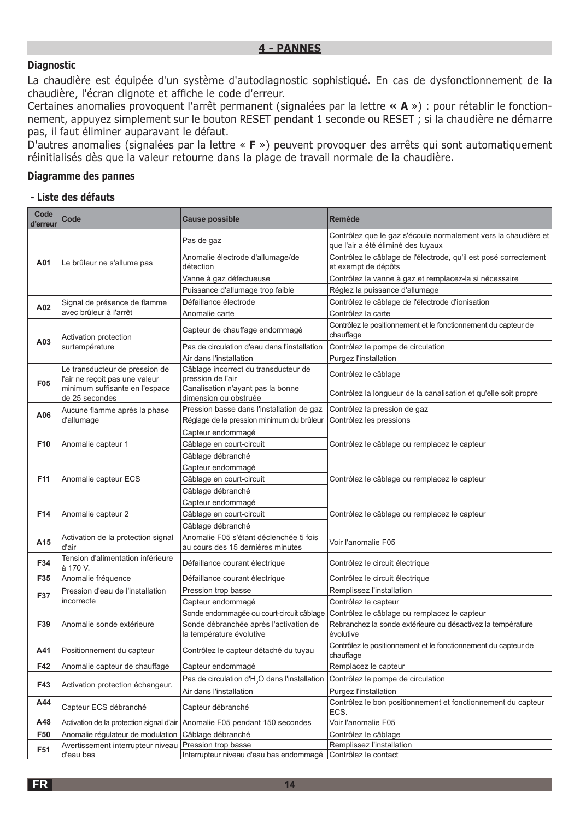### **Diagnostic**

La chaudière est équipée d'un système d'autodiagnostic sophistiqué. En cas de dysfonctionnement de la chaudière, l'écran clignote et affiche le code d'erreur.

Certaines anomalies provoquent l'arrêt permanent (signalées par la lettre **« A** ») : pour rétablir le fonctionnement, appuyez simplement sur le bouton RESET pendant 1 seconde ou RESET ; si la chaudière ne démarre pas, il faut éliminer auparavant le défaut.

D'autres anomalies (signalées par la lettre « **F** ») peuvent provoquer des arrêts qui sont automatiquement réinitialisés dès que la valeur retourne dans la plage de travail normale de la chaudière.

### **Diagramme des pannes**

#### **- Liste des défauts**

| Code<br>d'erreur | Code                                                                                                                 | <b>Cause possible</b>                                                      | <b>Remède</b>                                                                                        |
|------------------|----------------------------------------------------------------------------------------------------------------------|----------------------------------------------------------------------------|------------------------------------------------------------------------------------------------------|
| A01              | Le brûleur ne s'allume pas                                                                                           | Pas de gaz                                                                 | Contrôlez que le gaz s'écoule normalement vers la chaudière et<br>que l'air a été éliminé des tuyaux |
|                  |                                                                                                                      | Anomalie électrode d'allumage/de<br>détection                              | Contrôlez le câblage de l'électrode, qu'il est posé correctement<br>et exempt de dépôts              |
|                  |                                                                                                                      | Vanne à gaz défectueuse                                                    | Contrôlez la vanne à gaz et remplacez-la si nécessaire                                               |
|                  |                                                                                                                      | Puissance d'allumage trop faible                                           | Réglez la puissance d'allumage                                                                       |
| A02              | Signal de présence de flamme<br>avec brûleur à l'arrêt                                                               | Défaillance électrode                                                      | Contrôlez le câblage de l'électrode d'ionisation                                                     |
|                  |                                                                                                                      | Anomalie carte                                                             | Contrôlez la carte                                                                                   |
| A03              | Activation protection<br>surtempérature                                                                              | Capteur de chauffage endommagé                                             | Contrôlez le positionnement et le fonctionnement du capteur de<br>chauffage                          |
|                  |                                                                                                                      | Pas de circulation d'eau dans l'installation                               | Contrôlez la pompe de circulation                                                                    |
|                  |                                                                                                                      | Air dans l'installation                                                    | Purgez l'installation                                                                                |
| F05              | Le transducteur de pression de<br>l'air ne reçoit pas une valeur<br>minimum suffisante en l'espace<br>de 25 secondes | Câblage incorrect du transducteur de<br>pression de l'air                  | Contrôlez le câblage                                                                                 |
|                  |                                                                                                                      | Canalisation n'ayant pas la bonne<br>dimension ou obstruée                 | Contrôlez la longueur de la canalisation et qu'elle soit propre                                      |
| A06              | Aucune flamme après la phase                                                                                         | Pression basse dans l'installation de gaz                                  | Contrôlez la pression de gaz                                                                         |
|                  | d'allumage                                                                                                           | Réglage de la pression minimum du brûleur                                  | Contrôlez les pressions                                                                              |
|                  |                                                                                                                      | Capteur endommagé                                                          | Contrôlez le câblage ou remplacez le capteur                                                         |
| F <sub>10</sub>  | Anomalie capteur 1                                                                                                   | Câblage en court-circuit                                                   |                                                                                                      |
|                  |                                                                                                                      | Câblage débranché                                                          |                                                                                                      |
|                  | Anomalie capteur ECS                                                                                                 | Capteur endommagé                                                          |                                                                                                      |
| F11              |                                                                                                                      | Câblage en court-circuit                                                   | Contrôlez le câblage ou remplacez le capteur                                                         |
|                  | Anomalie capteur 2                                                                                                   | Câblage débranché                                                          |                                                                                                      |
|                  |                                                                                                                      | Capteur endommagé                                                          |                                                                                                      |
| F <sub>14</sub>  |                                                                                                                      | Câblage en court-circuit                                                   | Contrôlez le câblage ou remplacez le capteur                                                         |
|                  |                                                                                                                      | Câblage débranché<br>Anomalie F05 s'étant déclenchée 5 fois                |                                                                                                      |
| A15              | Activation de la protection signal<br>d'air                                                                          | au cours des 15 dernières minutes                                          | Voir l'anomalie F05                                                                                  |
| F34              | Tension d'alimentation inférieure<br>à 170 V.                                                                        | Défaillance courant électrique                                             | Contrôlez le circuit électrique                                                                      |
| F35              | Anomalie fréquence                                                                                                   | Défaillance courant électrique                                             | Contrôlez le circuit électrique                                                                      |
| F37              | Pression d'eau de l'installation                                                                                     | Pression trop basse                                                        | Remplissez l'installation                                                                            |
|                  | incorrecte                                                                                                           | Capteur endommagé                                                          | Contrôlez le capteur                                                                                 |
| F39              | Anomalie sonde extérieure                                                                                            | Sonde endommagée ou court-circuit câblage                                  | Contrôlez le câblage ou remplacez le capteur                                                         |
|                  |                                                                                                                      | Sonde débranchée après l'activation de<br>la température évolutive         | Rebranchez la sonde extérieure ou désactivez la température<br>évolutive                             |
| A41              | Positionnement du capteur                                                                                            | Contrôlez le capteur détaché du tuyau                                      | Contrôlez le positionnement et le fonctionnement du capteur de<br>chauffage                          |
| F42              | Anomalie capteur de chauffage                                                                                        | Capteur endommagé                                                          | Remplacez le capteur                                                                                 |
| F43              | Activation protection échangeur.                                                                                     | Pas de circulation d'H <sub>2</sub> O dans l'installation                  | Contrôlez la pompe de circulation                                                                    |
|                  |                                                                                                                      | Air dans l'installation                                                    | Purgez l'installation                                                                                |
| A44              | Capteur ECS débranché                                                                                                | Capteur débranché                                                          | Contrôlez le bon positionnement et fonctionnement du capteur<br>ECS.                                 |
| A48              |                                                                                                                      | Activation de la protection signal d'air Anomalie F05 pendant 150 secondes | Voir l'anomalie F05                                                                                  |
| F50              | Anomalie régulateur de modulation                                                                                    | Câblage débranché                                                          | Contrôlez le câblage                                                                                 |
| F51              | Avertissement interrupteur niveau                                                                                    | Pression trop basse                                                        | Remplissez l'installation                                                                            |
|                  | d'eau bas                                                                                                            | Interrupteur niveau d'eau bas endommagé                                    | Contrôlez le contact                                                                                 |